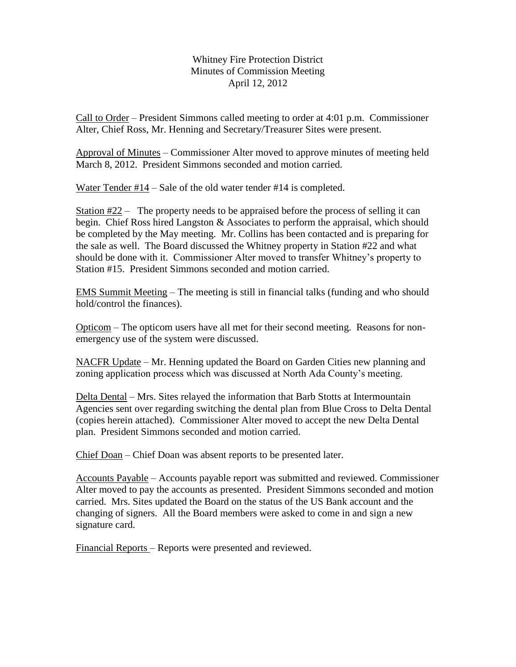Whitney Fire Protection District Minutes of Commission Meeting April 12, 2012

Call to Order – President Simmons called meeting to order at 4:01 p.m. Commissioner Alter, Chief Ross, Mr. Henning and Secretary/Treasurer Sites were present.

Approval of Minutes – Commissioner Alter moved to approve minutes of meeting held March 8, 2012. President Simmons seconded and motion carried.

Water Tender #14 – Sale of the old water tender #14 is completed.

Station #22 – The property needs to be appraised before the process of selling it can begin. Chief Ross hired Langston & Associates to perform the appraisal, which should be completed by the May meeting. Mr. Collins has been contacted and is preparing for the sale as well. The Board discussed the Whitney property in Station #22 and what should be done with it. Commissioner Alter moved to transfer Whitney's property to Station #15. President Simmons seconded and motion carried.

EMS Summit Meeting – The meeting is still in financial talks (funding and who should hold/control the finances).

Opticom – The opticom users have all met for their second meeting. Reasons for nonemergency use of the system were discussed.

NACFR Update – Mr. Henning updated the Board on Garden Cities new planning and zoning application process which was discussed at North Ada County's meeting.

Delta Dental – Mrs. Sites relayed the information that Barb Stotts at Intermountain Agencies sent over regarding switching the dental plan from Blue Cross to Delta Dental (copies herein attached). Commissioner Alter moved to accept the new Delta Dental plan. President Simmons seconded and motion carried.

Chief Doan – Chief Doan was absent reports to be presented later.

Accounts Payable – Accounts payable report was submitted and reviewed. Commissioner Alter moved to pay the accounts as presented. President Simmons seconded and motion carried. Mrs. Sites updated the Board on the status of the US Bank account and the changing of signers. All the Board members were asked to come in and sign a new signature card.

Financial Reports – Reports were presented and reviewed.